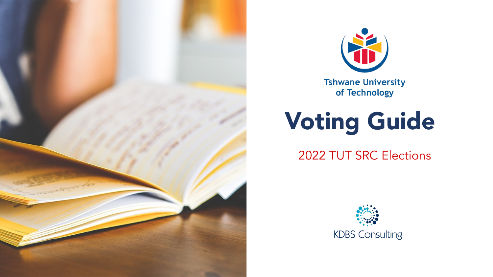



**Tshwane University** of Technology

# Voting Guide

2022 TUT SRC Elections

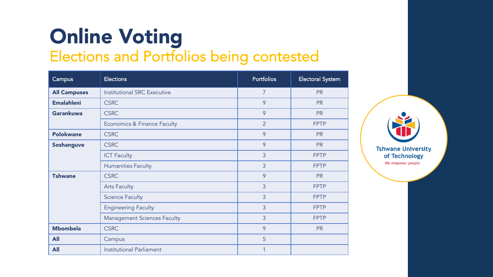# Online Voting

Elections and Portfolios being contested

| Campus              | <b>Elections</b>                   | <b>Portfolios</b> | <b>Electoral System</b> |
|---------------------|------------------------------------|-------------------|-------------------------|
| <b>All Campuses</b> | <b>Institutional SRC Executive</b> | $\overline{7}$    | <b>PR</b>               |
| <b>Emalahleni</b>   | <b>CSRC</b>                        | 9                 | <b>PR</b>               |
| <b>Garankuwa</b>    | <b>CSRC</b>                        | 9                 | <b>PR</b>               |
|                     | Economics & Finance Faculty        | $\overline{2}$    | <b>FPTP</b>             |
| <b>Polokwane</b>    | <b>CSRC</b>                        | 9                 | <b>PR</b>               |
| <b>Soshanguve</b>   | <b>CSRC</b>                        | 9                 | <b>PR</b>               |
|                     | <b>ICT Faculty</b>                 | 3                 | <b>FPTP</b>             |
|                     | <b>Humanities Faculty</b>          | 3                 | <b>FPTP</b>             |
| <b>Tshwane</b>      | <b>CSRC</b>                        | 9                 | <b>PR</b>               |
|                     | <b>Arts Faculty</b>                | 3                 | <b>FPTP</b>             |
|                     | <b>Science Faculty</b>             | 3                 | <b>FPTP</b>             |
|                     | <b>Engineering Faculty</b>         | 3                 | <b>FPTP</b>             |
|                     | <b>Management Sciences Faculty</b> | $\overline{3}$    | <b>FPTP</b>             |
| <b>Mbombela</b>     | <b>CSRC</b>                        | 9                 | <b>PR</b>               |
| <b>All</b>          | Campus                             | 5                 |                         |
| <b>All</b>          | <b>Institutional Parliament</b>    | 1                 |                         |

**Tshwane University** of Technology We empower people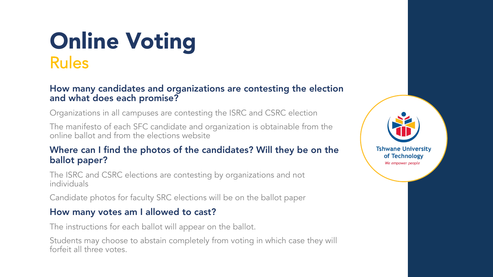# Online Voting Rules

#### How many candidates and organizations are contesting the election and what does each promise?

Organizations in all campuses are contesting the ISRC and CSRC election

The manifesto of each SFC candidate and organization is obtainable from the online ballot and from the elections website

#### Where can I find the photos of the candidates? Will they be on the ballot paper?

The ISRC and CSRC elections are contesting by organizations and not individuals

Candidate photos for faculty SRC elections will be on the ballot paper

#### How many votes am I allowed to cast?

The instructions for each ballot will appear on the ballot.

Students may choose to abstain completely from voting in which case they will forfeit all three votes.

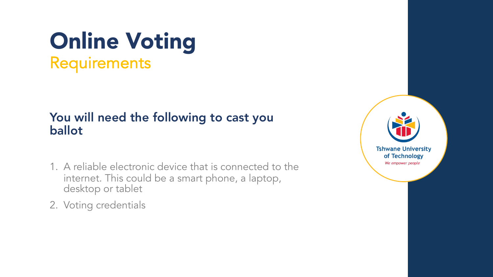### Online Voting **Requirements**

### You will need the following to cast you ballot

- 1. A reliable electronic device that is connected to the internet. This could be a smart phone, a laptop, desktop or tablet
- 2. Voting credentials

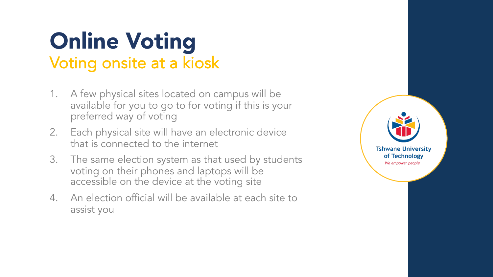# Online Voting Voting onsite at a kiosk

- 1. A few physical sites located on campus will be available for you to go to for voting if this is your preferred way of voting
- 2. Each physical site will have an electronic device that is connected to the internet
- 3. The same election system as that used by students voting on their phones and laptops will be accessible on the device at the voting site
- 4. An election official will be available at each site to assist you

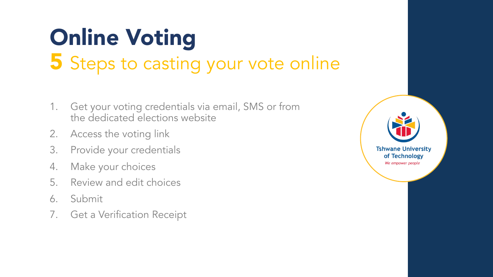# Online Voting 5 Steps to casting your vote online

- 1. Get your voting credentials via email, SMS or from the dedicated elections website
- 2. Access the voting link
- 3. Provide your credentials
- 4. Make your choices
- 5. Review and edit choices
- 6. Submit
- 7. Get a Verification Receipt

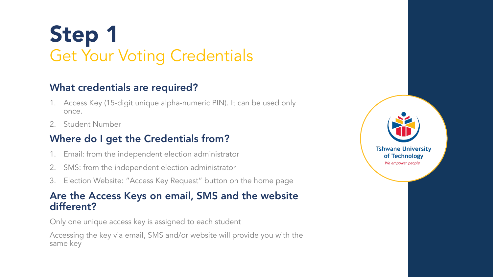# Step 1 Get Your Voting Credentials

### What credentials are required?

- 1. Access Key (15-digit unique alpha-numeric PIN). It can be used only once.
- 2. Student Number

### Where do I get the Credentials from?

- 1. Email: from the independent election administrator
- 2. SMS: from the independent election administrator
- 3. Election Website: "Access Key Request" button on the home page

#### Are the Access Keys on email, SMS and the website different?

Only one unique access key is assigned to each student

Accessing the key via email, SMS and/or website will provide you with the same key

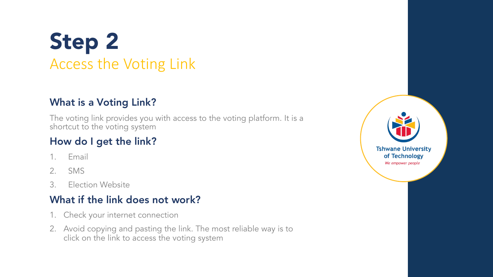## Step 2 Access the Voting Link

### What is a Voting Link?

The voting link provides you with access to the voting platform. It is a shortcut to the voting system

### How do I get the link?

- 1. Email
- 2. SMS
- 3. Election Website

### What if the link does not work?

- 1. Check your internet connection
- 2. Avoid copying and pasting the link. The most reliable way is to click on the link to access the voting system

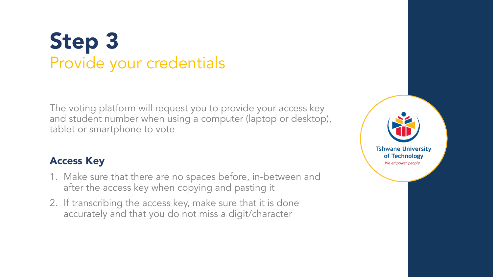## Step 3 Provide your credentials

The voting platform will request you to provide your access key and student number when using a computer (laptop or desktop), tablet or smartphone to vote

#### Access Key

- 1. Make sure that there are no spaces before, in-between and after the access key when copying and pasting it
- 2. If transcribing the access key, make sure that it is done accurately and that you do not miss a digit/character

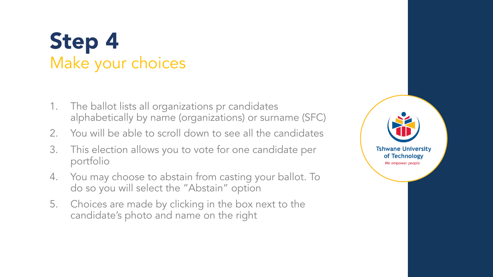### Step 4 Make your choices

- 1. The ballot lists all organizations pr candidates alphabetically by name (organizations) or surname (SFC)
- 2. You will be able to scroll down to see all the candidates
- 3. This election allows you to vote for one candidate per portfolio
- 4. You may choose to abstain from casting your ballot. To do so you will select the "Abstain" option
- 5. Choices are made by clicking in the box next to the candidate's photo and name on the right

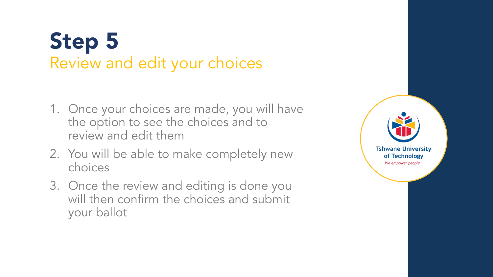## Step 5 Review and edit your choices

- 1. Once your choices are made, you will have the option to see the choices and to review and edit them
- 2. You will be able to make completely new choices
- 3. Once the review and editing is done you will then confirm the choices and submit your ballot

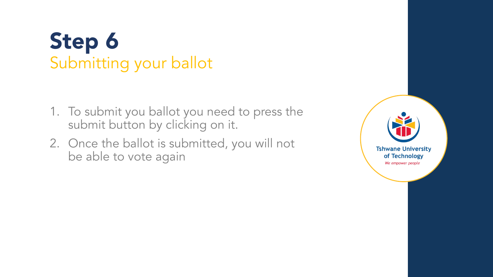# Step 6 Submitting your ballot

- 1. To submit you ballot you need to press the submit button by clicking on it.
- 2. Once the ballot is submitted, you will not be able to vote again